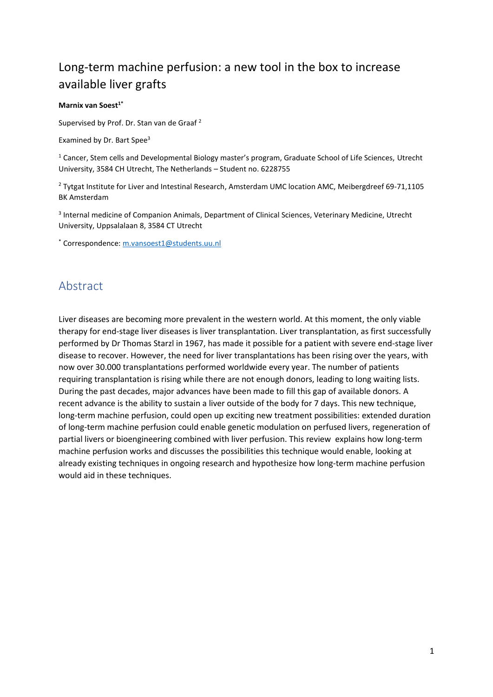# Long-term machine perfusion: a new tool in the box to increase available liver grafts

#### **Marnix van Soest1\***

Supervised by Prof. Dr. Stan van de Graaf <sup>2</sup>

Examined by Dr. Bart Spee<sup>3</sup>

<sup>1</sup> Cancer, Stem cells and Developmental Biology master's program, Graduate School of Life Sciences, Utrecht University, 3584 CH Utrecht, The Netherlands – Student no. 6228755

<sup>2</sup> Tytgat Institute for Liver and Intestinal Research, Amsterdam UMC location AMC, Meibergdreef 69-71,1105 BK Amsterdam

3 Internal medicine of Companion Animals, Department of Clinical Sciences, Veterinary Medicine, Utrecht University, Uppsalalaan 8, 3584 CT Utrecht

\* Correspondence: [m.vansoest1@students.uu.nl](mailto:m.vansoest1@students.uu.nl)

## <span id="page-0-0"></span>Abstract

Liver diseases are becoming more prevalent in the western world. At this moment, the only viable therapy for end-stage liver diseases is liver transplantation. Liver transplantation, as first successfully performed by Dr Thomas Starzl in 1967, has made it possible for a patient with severe end-stage liver disease to recover. However, the need for liver transplantations has been rising over the years, with now over 30.000 transplantations performed worldwide every year. The number of patients requiring transplantation is rising while there are not enough donors, leading to long waiting lists. During the past decades, major advances have been made to fill this gap of available donors. A recent advance is the ability to sustain a liver outside of the body for 7 days. This new technique, long-term machine perfusion, could open up exciting new treatment possibilities: extended duration of long-term machine perfusion could enable genetic modulation on perfused livers, regeneration of partial livers or bioengineering combined with liver perfusion. This review explains how long-term machine perfusion works and discusses the possibilities this technique would enable, looking at already existing techniques in ongoing research and hypothesize how long-term machine perfusion would aid in these techniques.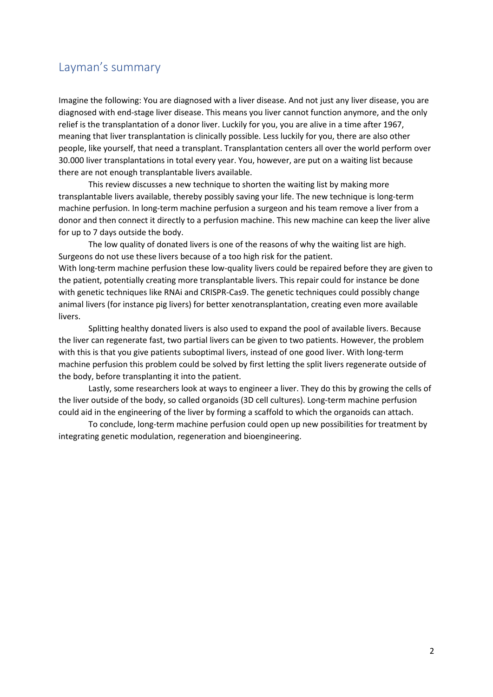## <span id="page-1-0"></span>Layman's summary

Imagine the following: You are diagnosed with a liver disease. And not just any liver disease, you are diagnosed with end-stage liver disease. This means you liver cannot function anymore, and the only relief is the transplantation of a donor liver. Luckily for you, you are alive in a time after 1967, meaning that liver transplantation is clinically possible. Less luckily for you, there are also other people, like yourself, that need a transplant. Transplantation centers all over the world perform over 30.000 liver transplantations in total every year. You, however, are put on a waiting list because there are not enough transplantable livers available.

This review discusses a new technique to shorten the waiting list by making more transplantable livers available, thereby possibly saving your life. The new technique is long-term machine perfusion. In long-term machine perfusion a surgeon and his team remove a liver from a donor and then connect it directly to a perfusion machine. This new machine can keep the liver alive for up to 7 days outside the body.

The low quality of donated livers is one of the reasons of why the waiting list are high. Surgeons do not use these livers because of a too high risk for the patient. With long-term machine perfusion these low-quality livers could be repaired before they are given to the patient, potentially creating more transplantable livers. This repair could for instance be done with genetic techniques like RNAi and CRISPR-Cas9. The genetic techniques could possibly change animal livers (for instance pig livers) for better xenotransplantation, creating even more available livers.

Splitting healthy donated livers is also used to expand the pool of available livers. Because the liver can regenerate fast, two partial livers can be given to two patients. However, the problem with this is that you give patients suboptimal livers, instead of one good liver. With long-term machine perfusion this problem could be solved by first letting the split livers regenerate outside of the body, before transplanting it into the patient.

Lastly, some researchers look at ways to engineer a liver. They do this by growing the cells of the liver outside of the body, so called organoids (3D cell cultures). Long-term machine perfusion could aid in the engineering of the liver by forming a scaffold to which the organoids can attach.

To conclude, long-term machine perfusion could open up new possibilities for treatment by integrating genetic modulation, regeneration and bioengineering.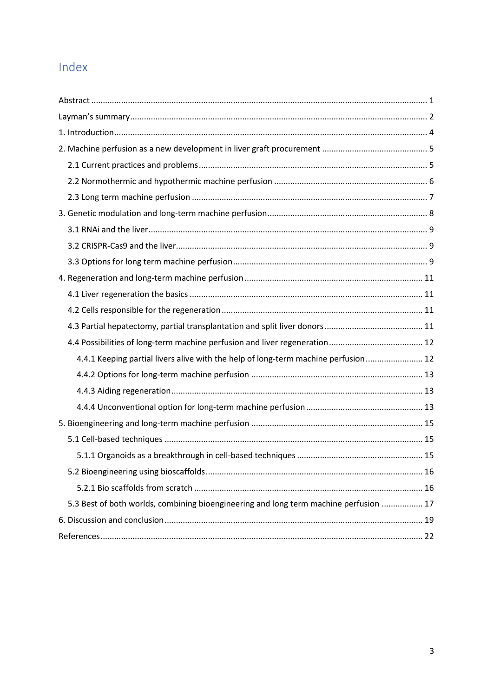# Index

| 4.4.1 Keeping partial livers alive with the help of long-term machine perfusion 12    |
|---------------------------------------------------------------------------------------|
|                                                                                       |
|                                                                                       |
|                                                                                       |
|                                                                                       |
|                                                                                       |
|                                                                                       |
|                                                                                       |
|                                                                                       |
| 5.3 Best of both worlds, combining bioengineering and long term machine perfusion  17 |
|                                                                                       |
|                                                                                       |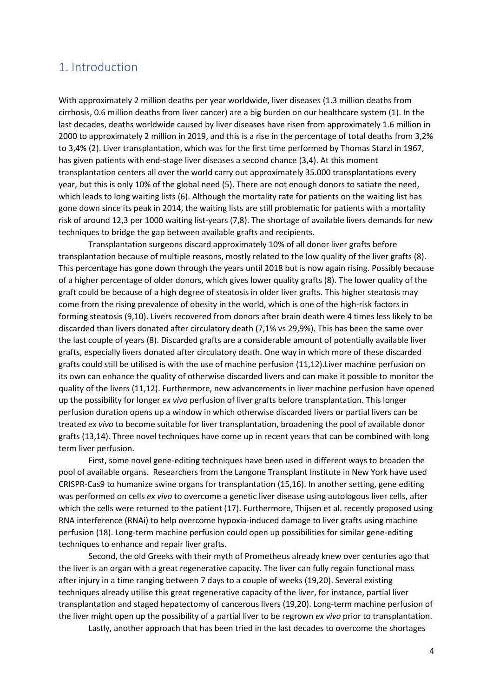## <span id="page-3-0"></span>1. Introduction

With approximately 2 million deaths per year worldwide, liver diseases (1.3 million deaths from cirrhosis, 0.6 million deaths from liver cancer) are a big burden on our healthcare system (1). In the last decades, deaths worldwide caused by liver diseases have risen from approximately 1.6 million in 2000 to approximately 2 million in 2019, and this is a rise in the percentage of total deaths from 3,2% to 3,4% (2). Liver transplantation, which was for the first time performed by Thomas Starzl in 1967, has given patients with end-stage liver diseases a second chance (3,4). At this moment transplantation centers all over the world carry out approximately 35.000 transplantations every year, but this is only 10% of the global need (5). There are not enough donors to satiate the need, which leads to long waiting lists (6). Although the mortality rate for patients on the waiting list has gone down since its peak in 2014, the waiting lists are still problematic for patients with a mortality risk of around 12,3 per 1000 waiting list-years (7,8). The shortage of available livers demands for new techniques to bridge the gap between available grafts and recipients.

Transplantation surgeons discard approximately 10% of all donor liver grafts before transplantation because of multiple reasons, mostly related to the low quality of the liver grafts (8). This percentage has gone down through the years until 2018 but is now again rising. Possibly because of a higher percentage of older donors, which gives lower quality grafts (8). The lower quality of the graft could be because of a high degree of steatosis in older liver grafts. This higher steatosis may come from the rising prevalence of obesity in the world, which is one of the high-risk factors in forming steatosis (9,10). Livers recovered from donors after brain death were 4 times less likely to be discarded than livers donated after circulatory death (7,1% vs 29,9%). This has been the same over the last couple of years (8). Discarded grafts are a considerable amount of potentially available liver grafts, especially livers donated after circulatory death. One way in which more of these discarded grafts could still be utilised is with the use of machine perfusion (11,12).Liver machine perfusion on its own can enhance the quality of otherwise discarded livers and can make it possible to monitor the quality of the livers (11,12). Furthermore, new advancements in liver machine perfusion have opened up the possibility for longer *ex vivo* perfusion of liver grafts before transplantation. This longer perfusion duration opens up a window in which otherwise discarded livers or partial livers can be treated *ex vivo* to become suitable for liver transplantation, broadening the pool of available donor grafts (13,14). Three novel techniques have come up in recent years that can be combined with long term liver perfusion.

First, some novel gene-editing techniques have been used in different ways to broaden the pool of available organs. Researchers from the Langone Transplant Institute in New York have used CRISPR-Cas9 to humanize swine organs for transplantation (15,16). In another setting, gene editing was performed on cells *ex vivo* to overcome a genetic liver disease using autologous liver cells, after which the cells were returned to the patient (17). Furthermore, Thijsen et al. recently proposed using RNA interference (RNAi) to help overcome hypoxia-induced damage to liver grafts using machine perfusion (18). Long-term machine perfusion could open up possibilities for similar gene-editing techniques to enhance and repair liver grafts.

Second, the old Greeks with their myth of Prometheus already knew over centuries ago that the liver is an organ with a great regenerative capacity. The liver can fully regain functional mass after injury in a time ranging between 7 days to a couple of weeks (19,20). Several existing techniques already utilise this great regenerative capacity of the liver, for instance, partial liver transplantation and staged hepatectomy of cancerous livers (19,20). Long-term machine perfusion of the liver might open up the possibility of a partial liver to be regrown *ex vivo* prior to transplantation.

Lastly, another approach that has been tried in the last decades to overcome the shortages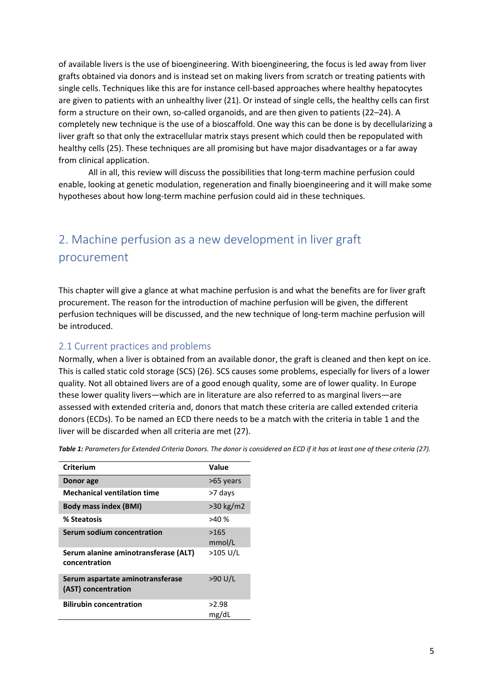of available livers is the use of bioengineering. With bioengineering, the focus is led away from liver grafts obtained via donors and is instead set on making livers from scratch or treating patients with single cells. Techniques like this are for instance cell-based approaches where healthy hepatocytes are given to patients with an unhealthy liver (21). Or instead of single cells, the healthy cells can first form a structure on their own, so-called organoids, and are then given to patients (22–24). A completely new technique is the use of a bioscaffold. One way this can be done is by decellularizing a liver graft so that only the extracellular matrix stays present which could then be repopulated with healthy cells (25). These techniques are all promising but have major disadvantages or a far away from clinical application.

All in all, this review will discuss the possibilities that long-term machine perfusion could enable, looking at genetic modulation, regeneration and finally bioengineering and it will make some hypotheses about how long-term machine perfusion could aid in these techniques.

# <span id="page-4-0"></span>2. Machine perfusion as a new development in liver graft procurement

This chapter will give a glance at what machine perfusion is and what the benefits are for liver graft procurement. The reason for the introduction of machine perfusion will be given, the different perfusion techniques will be discussed, and the new technique of long-term machine perfusion will be introduced.

### <span id="page-4-1"></span>2.1 Current practices and problems

Normally, when a liver is obtained from an available donor, the graft is cleaned and then kept on ice. This is called static cold storage (SCS) (26). SCS causes some problems, especially for livers of a lower quality. Not all obtained livers are of a good enough quality, some are of lower quality. In Europe these lower quality livers—which are in literature are also referred to as marginal livers—are assessed with extended criteria and, donors that match these criteria are called extended criteria donors (ECDs). To be named an ECD there needs to be a match with the criteria in table 1 and the liver will be discarded when all criteria are met (27).

| Criterium                                               | Value          |
|---------------------------------------------------------|----------------|
| Donor age                                               | >65 years      |
| <b>Mechanical ventilation time</b>                      | >7 days        |
| <b>Body mass index (BMI)</b>                            | $>30$ kg/m2    |
| % Steatosis                                             | >40%           |
| Serum sodium concentration                              | >165<br>mmol/L |
| Serum alanine aminotransferase (ALT)<br>concentration   | >105 U/L       |
| Serum aspartate aminotransferase<br>(AST) concentration | >90 U/L        |
| <b>Bilirubin concentration</b>                          | >2.98<br>mg/dL |

*Table 1: Parameters for Extended Criteria Donors. The donor is considered an ECD if it has at least one of these criteria (27).*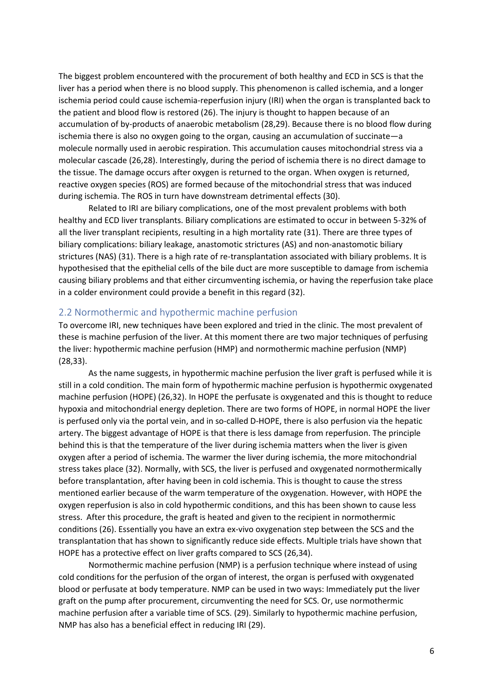The biggest problem encountered with the procurement of both healthy and ECD in SCS is that the liver has a period when there is no blood supply. This phenomenon is called ischemia, and a longer ischemia period could cause ischemia-reperfusion injury (IRI) when the organ is transplanted back to the patient and blood flow is restored (26). The injury is thought to happen because of an accumulation of by-products of anaerobic metabolism (28,29). Because there is no blood flow during ischemia there is also no oxygen going to the organ, causing an accumulation of succinate—a molecule normally used in aerobic respiration. This accumulation causes mitochondrial stress via a molecular cascade (26,28). Interestingly, during the period of ischemia there is no direct damage to the tissue. The damage occurs after oxygen is returned to the organ. When oxygen is returned, reactive oxygen species (ROS) are formed because of the mitochondrial stress that was induced during ischemia. The ROS in turn have downstream detrimental effects (30).

Related to IRI are biliary complications, one of the most prevalent problems with both healthy and ECD liver transplants. Biliary complications are estimated to occur in between 5-32% of all the liver transplant recipients, resulting in a high mortality rate (31). There are three types of biliary complications: biliary leakage, anastomotic strictures (AS) and non-anastomotic biliary strictures (NAS) (31). There is a high rate of re-transplantation associated with biliary problems. It is hypothesised that the epithelial cells of the bile duct are more susceptible to damage from ischemia causing biliary problems and that either circumventing ischemia, or having the reperfusion take place in a colder environment could provide a benefit in this regard (32).

### <span id="page-5-0"></span>2.2 Normothermic and hypothermic machine perfusion

To overcome IRI, new techniques have been explored and tried in the clinic. The most prevalent of these is machine perfusion of the liver. At this moment there are two major techniques of perfusing the liver: hypothermic machine perfusion (HMP) and normothermic machine perfusion (NMP) (28,33).

As the name suggests, in hypothermic machine perfusion the liver graft is perfused while it is still in a cold condition. The main form of hypothermic machine perfusion is hypothermic oxygenated machine perfusion (HOPE) (26,32). In HOPE the perfusate is oxygenated and this is thought to reduce hypoxia and mitochondrial energy depletion. There are two forms of HOPE, in normal HOPE the liver is perfused only via the portal vein, and in so-called D-HOPE, there is also perfusion via the hepatic artery. The biggest advantage of HOPE is that there is less damage from reperfusion. The principle behind this is that the temperature of the liver during ischemia matters when the liver is given oxygen after a period of ischemia. The warmer the liver during ischemia, the more mitochondrial stress takes place (32). Normally, with SCS, the liver is perfused and oxygenated normothermically before transplantation, after having been in cold ischemia. This is thought to cause the stress mentioned earlier because of the warm temperature of the oxygenation. However, with HOPE the oxygen reperfusion is also in cold hypothermic conditions, and this has been shown to cause less stress. After this procedure, the graft is heated and given to the recipient in normothermic conditions (26). Essentially you have an extra ex-vivo oxygenation step between the SCS and the transplantation that has shown to significantly reduce side effects. Multiple trials have shown that HOPE has a protective effect on liver grafts compared to SCS (26,34).

Normothermic machine perfusion (NMP) is a perfusion technique where instead of using cold conditions for the perfusion of the organ of interest, the organ is perfused with oxygenated blood or perfusate at body temperature. NMP can be used in two ways: Immediately put the liver graft on the pump after procurement, circumventing the need for SCS. Or, use normothermic machine perfusion after a variable time of SCS. (29). Similarly to hypothermic machine perfusion, NMP has also has a beneficial effect in reducing IRI (29).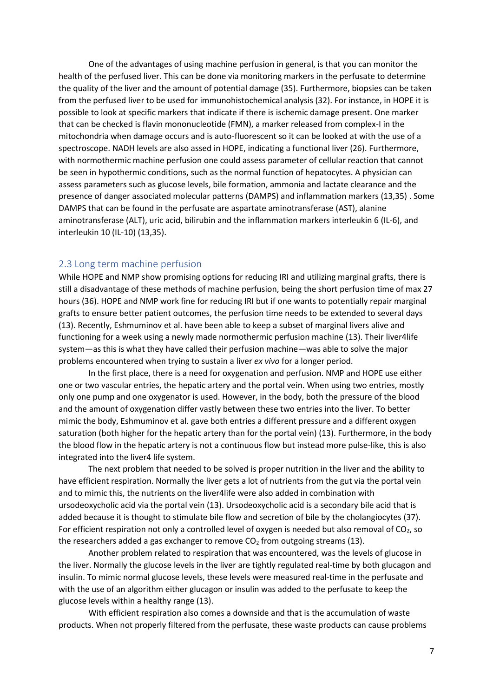One of the advantages of using machine perfusion in general, is that you can monitor the health of the perfused liver. This can be done via monitoring markers in the perfusate to determine the quality of the liver and the amount of potential damage (35). Furthermore, biopsies can be taken from the perfused liver to be used for immunohistochemical analysis (32). For instance, in HOPE it is possible to look at specific markers that indicate if there is ischemic damage present. One marker that can be checked is flavin mononucleotide (FMN), a marker released from complex-I in the mitochondria when damage occurs and is auto-fluorescent so it can be looked at with the use of a spectroscope. NADH levels are also assed in HOPE, indicating a functional liver (26). Furthermore, with normothermic machine perfusion one could assess parameter of cellular reaction that cannot be seen in hypothermic conditions, such as the normal function of hepatocytes. A physician can assess parameters such as glucose levels, bile formation, ammonia and lactate clearance and the presence of danger associated molecular patterns (DAMPS) and inflammation markers (13,35) . Some DAMPS that can be found in the perfusate are aspartate aminotransferase (AST), alanine aminotransferase (ALT), uric acid, bilirubin and the inflammation markers interleukin 6 (IL-6), and interleukin 10 (IL-10) (13,35).

#### <span id="page-6-0"></span>2.3 Long term machine perfusion

While HOPE and NMP show promising options for reducing IRI and utilizing marginal grafts, there is still a disadvantage of these methods of machine perfusion, being the short perfusion time of max 27 hours (36). HOPE and NMP work fine for reducing IRI but if one wants to potentially repair marginal grafts to ensure better patient outcomes, the perfusion time needs to be extended to several days (13). Recently, Eshmuminov et al. have been able to keep a subset of marginal livers alive and functioning for a week using a newly made normothermic perfusion machine (13). Their liver4life system—as this is what they have called their perfusion machine—was able to solve the major problems encountered when trying to sustain a liver *ex vivo* for a longer period.

In the first place, there is a need for oxygenation and perfusion. NMP and HOPE use either one or two vascular entries, the hepatic artery and the portal vein. When using two entries, mostly only one pump and one oxygenator is used. However, in the body, both the pressure of the blood and the amount of oxygenation differ vastly between these two entries into the liver. To better mimic the body, Eshmuminov et al. gave both entries a different pressure and a different oxygen saturation (both higher for the hepatic artery than for the portal vein) (13). Furthermore, in the body the blood flow in the hepatic artery is not a continuous flow but instead more pulse-like, this is also integrated into the liver4 life system.

The next problem that needed to be solved is proper nutrition in the liver and the ability to have efficient respiration. Normally the liver gets a lot of nutrients from the gut via the portal vein and to mimic this, the nutrients on the liver4life were also added in combination with ursodeoxycholic acid via the portal vein (13). Ursodeoxycholic acid is a secondary bile acid that is added because it is thought to stimulate bile flow and secretion of bile by the cholangiocytes (37). For efficient respiration not only a controlled level of oxygen is needed but also removal of  $CO<sub>2</sub>$ , so the researchers added a gas exchanger to remove  $CO<sub>2</sub>$  from outgoing streams (13).

Another problem related to respiration that was encountered, was the levels of glucose in the liver. Normally the glucose levels in the liver are tightly regulated real-time by both glucagon and insulin. To mimic normal glucose levels, these levels were measured real-time in the perfusate and with the use of an algorithm either glucagon or insulin was added to the perfusate to keep the glucose levels within a healthy range (13).

With efficient respiration also comes a downside and that is the accumulation of waste products. When not properly filtered from the perfusate, these waste products can cause problems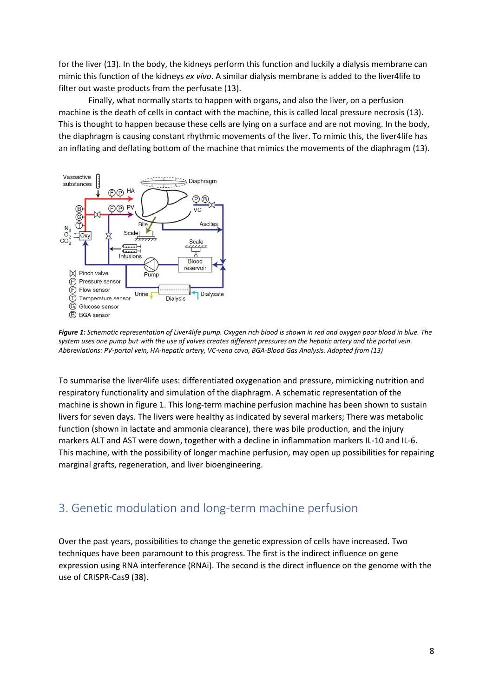for the liver (13). In the body, the kidneys perform this function and luckily a dialysis membrane can mimic this function of the kidneys *ex vivo*. A similar dialysis membrane is added to the liver4life to filter out waste products from the perfusate (13).

Finally, what normally starts to happen with organs, and also the liver, on a perfusion machine is the death of cells in contact with the machine, this is called local pressure necrosis (13). This is thought to happen because these cells are lying on a surface and are not moving. In the body, the diaphragm is causing constant rhythmic movements of the liver. To mimic this, the liver4life has an inflating and deflating bottom of the machine that mimics the movements of the diaphragm (13).



*Figure 1: Schematic representation of Liver4life pump. Oxygen rich blood is shown in red and oxygen poor blood in blue. The system uses one pump but with the use of valves creates different pressures on the hepatic artery and the portal vein. Abbreviations: PV-portal vein, HA-hepatic artery, VC-vena cava, BGA-Blood Gas Analysis. Adapted from (13)*

To summarise the liver4life uses: differentiated oxygenation and pressure, mimicking nutrition and respiratory functionality and simulation of the diaphragm. A schematic representation of the machine is shown in figure 1. This long-term machine perfusion machine has been shown to sustain livers for seven days. The livers were healthy as indicated by several markers; There was metabolic function (shown in lactate and ammonia clearance), there was bile production, and the injury markers ALT and AST were down, together with a decline in inflammation markers IL-10 and IL-6. This machine, with the possibility of longer machine perfusion, may open up possibilities for repairing marginal grafts, regeneration, and liver bioengineering.

## <span id="page-7-0"></span>3. Genetic modulation and long-term machine perfusion

Over the past years, possibilities to change the genetic expression of cells have increased. Two techniques have been paramount to this progress. The first is the indirect influence on gene expression using RNA interference (RNAi). The second is the direct influence on the genome with the use of CRISPR-Cas9 (38).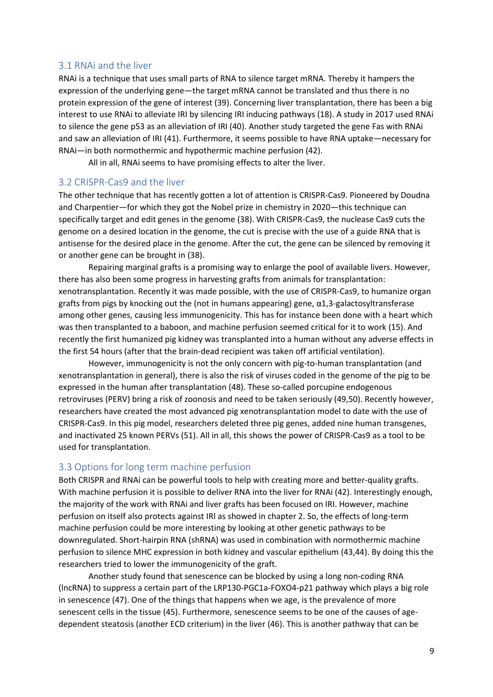#### <span id="page-8-0"></span>3.1 RNAi and the liver

RNAi is a technique that uses small parts of RNA to silence target mRNA. Thereby it hampers the expression of the underlying gene—the target mRNA cannot be translated and thus there is no protein expression of the gene of interest (39). Concerning liver transplantation, there has been a big interest to use RNAi to alleviate IRI by silencing IRI inducing pathways (18). A study in 2017 used RNAi to silence the gene p53 as an alleviation of IRI (40). Another study targeted the gene Fas with RNAi and saw an alleviation of IRI (41). Furthermore, it seems possible to have RNA uptake—necessary for RNAi—in both normothermic and hypothermic machine perfusion (42).

All in all, RNAi seems to have promising effects to alter the liver.

#### <span id="page-8-1"></span>3.2 CRISPR-Cas9 and the liver

The other technique that has recently gotten a lot of attention is CRISPR-Cas9. Pioneered by Doudna and Charpentier—for which they got the Nobel prize in chemistry in 2020—this technique can specifically target and edit genes in the genome (38). With CRISPR-Cas9, the nuclease Cas9 cuts the genome on a desired location in the genome, the cut is precise with the use of a guide RNA that is antisense for the desired place in the genome. After the cut, the gene can be silenced by removing it or another gene can be brought in (38).

Repairing marginal grafts is a promising way to enlarge the pool of available livers. However, there has also been some progress in harvesting grafts from animals for transplantation: xenotransplantation. Recently it was made possible, with the use of CRISPR-Cas9, to humanize organ grafts from pigs by knocking out the (not in humans appearing) gene, α1,3-galactosyltransferase among other genes, causing less immunogenicity. This has for instance been done with a heart which was then transplanted to a baboon, and machine perfusion seemed critical for it to work (15). And recently the first humanized pig kidney was transplanted into a human without any adverse effects in the first 54 hours (after that the brain-dead recipient was taken off artificial ventilation).

However, immunogenicity is not the only concern with pig-to-human transplantation (and xenotransplantation in general), there is also the risk of viruses coded in the genome of the pig to be expressed in the human after transplantation (48). These so-called porcupine endogenous retroviruses (PERV) bring a risk of zoonosis and need to be taken seriously (49,50). Recently however, researchers have created the most advanced pig xenotransplantation model to date with the use of CRISPR-Cas9. In this pig model, researchers deleted three pig genes, added nine human transgenes, and inactivated 25 known PERVs (51). All in all, this shows the power of CRISPR-Cas9 as a tool to be used for transplantation.

#### <span id="page-8-2"></span>3.3 Options for long term machine perfusion

Both CRISPR and RNAi can be powerful tools to help with creating more and better-quality grafts. With machine perfusion it is possible to deliver RNA into the liver for RNAi (42). Interestingly enough, the majority of the work with RNAi and liver grafts has been focused on IRI. However, machine perfusion on itself also protects against IRI as showed in chapter 2. So, the effects of long-term machine perfusion could be more interesting by looking at other genetic pathways to be downregulated. Short-hairpin RNA (shRNA) was used in combination with normothermic machine perfusion to silence MHC expression in both kidney and vascular epithelium (43,44). By doing this the researchers tried to lower the immunogenicity of the graft.

Another study found that senescence can be blocked by using a long non-coding RNA (lncRNA) to suppress a certain part of the LRP130-PGC1a-FOXO4-p21 pathway which plays a big role in senescence (47). One of the things that happens when we age, is the prevalence of more senescent cells in the tissue (45). Furthermore, senescence seems to be one of the causes of agedependent steatosis (another ECD criterium) in the liver (46). This is another pathway that can be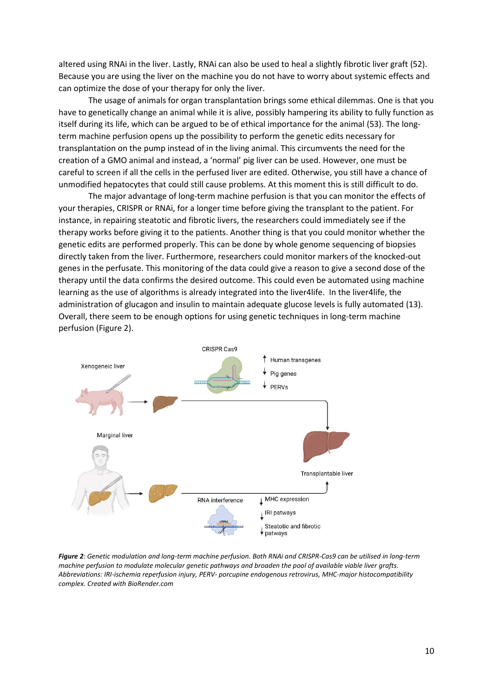altered using RNAi in the liver. Lastly, RNAi can also be used to heal a slightly fibrotic liver graft (52). Because you are using the liver on the machine you do not have to worry about systemic effects and can optimize the dose of your therapy for only the liver.

The usage of animals for organ transplantation brings some ethical dilemmas. One is that you have to genetically change an animal while it is alive, possibly hampering its ability to fully function as itself during its life, which can be argued to be of ethical importance for the animal (53). The longterm machine perfusion opens up the possibility to perform the genetic edits necessary for transplantation on the pump instead of in the living animal. This circumvents the need for the creation of a GMO animal and instead, a 'normal' pig liver can be used. However, one must be careful to screen if all the cells in the perfused liver are edited. Otherwise, you still have a chance of unmodified hepatocytes that could still cause problems. At this moment this is still difficult to do.

The major advantage of long-term machine perfusion is that you can monitor the effects of your therapies, CRISPR or RNAi, for a longer time before giving the transplant to the patient. For instance, in repairing steatotic and fibrotic livers, the researchers could immediately see if the therapy works before giving it to the patients. Another thing is that you could monitor whether the genetic edits are performed properly. This can be done by whole genome sequencing of biopsies directly taken from the liver. Furthermore, researchers could monitor markers of the knocked-out genes in the perfusate. This monitoring of the data could give a reason to give a second dose of the therapy until the data confirms the desired outcome. This could even be automated using machine learning as the use of algorithms is already integrated into the liver4life. In the liver4life, the administration of glucagon and insulin to maintain adequate glucose levels is fully automated (13). Overall, there seem to be enough options for using genetic techniques in long-term machine perfusion (Figure 2).



*Figure 2: Genetic modulation and long-term machine perfusion. Both RNAi and CRISPR-Cas9 can be utilised in long-term machine perfusion to modulate molecular genetic pathways and broaden the pool of available viable liver grafts. Abbreviations: IRI-ischemia reperfusion injury, PERV- porcupine endogenous retrovirus, MHC-major histocompatibility complex. Created with BioRender.com*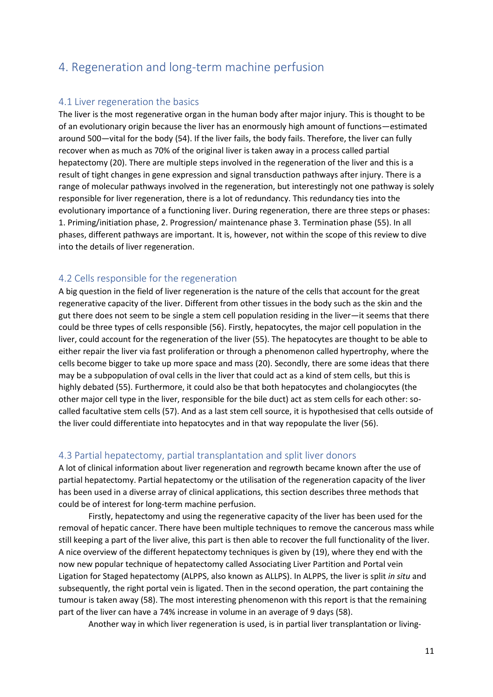## <span id="page-10-0"></span>4. Regeneration and long-term machine perfusion

#### <span id="page-10-1"></span>4.1 Liver regeneration the basics

The liver is the most regenerative organ in the human body after major injury. This is thought to be of an evolutionary origin because the liver has an enormously high amount of functions—estimated around 500—vital for the body (54). If the liver fails, the body fails. Therefore, the liver can fully recover when as much as 70% of the original liver is taken away in a process called partial hepatectomy (20). There are multiple steps involved in the regeneration of the liver and this is a result of tight changes in gene expression and signal transduction pathways after injury. There is a range of molecular pathways involved in the regeneration, but interestingly not one pathway is solely responsible for liver regeneration, there is a lot of redundancy. This redundancy ties into the evolutionary importance of a functioning liver. During regeneration, there are three steps or phases: 1. Priming/initiation phase, 2. Progression/ maintenance phase 3. Termination phase (55). In all phases, different pathways are important. It is, however, not within the scope of this review to dive into the details of liver regeneration.

#### <span id="page-10-2"></span>4.2 Cells responsible for the regeneration

A big question in the field of liver regeneration is the nature of the cells that account for the great regenerative capacity of the liver. Different from other tissues in the body such as the skin and the gut there does not seem to be single a stem cell population residing in the liver—it seems that there could be three types of cells responsible (56). Firstly, hepatocytes, the major cell population in the liver, could account for the regeneration of the liver (55). The hepatocytes are thought to be able to either repair the liver via fast proliferation or through a phenomenon called hypertrophy, where the cells become bigger to take up more space and mass (20). Secondly, there are some ideas that there may be a subpopulation of oval cells in the liver that could act as a kind of stem cells, but this is highly debated (55). Furthermore, it could also be that both hepatocytes and cholangiocytes (the other major cell type in the liver, responsible for the bile duct) act as stem cells for each other: socalled facultative stem cells (57). And as a last stem cell source, it is hypothesised that cells outside of the liver could differentiate into hepatocytes and in that way repopulate the liver (56).

#### <span id="page-10-3"></span>4.3 Partial hepatectomy, partial transplantation and split liver donors

A lot of clinical information about liver regeneration and regrowth became known after the use of partial hepatectomy. Partial hepatectomy or the utilisation of the regeneration capacity of the liver has been used in a diverse array of clinical applications, this section describes three methods that could be of interest for long-term machine perfusion.

Firstly, hepatectomy and using the regenerative capacity of the liver has been used for the removal of hepatic cancer. There have been multiple techniques to remove the cancerous mass while still keeping a part of the liver alive, this part is then able to recover the full functionality of the liver. A nice overview of the different hepatectomy techniques is given by (19), where they end with the now new popular technique of hepatectomy called Associating Liver Partition and Portal vein Ligation for Staged hepatectomy (ALPPS, also known as ALLPS). In ALPPS, the liver is split *in situ* and subsequently, the right portal vein is ligated. Then in the second operation, the part containing the tumour is taken away (58). The most interesting phenomenon with this report is that the remaining part of the liver can have a 74% increase in volume in an average of 9 days (58).

Another way in which liver regeneration is used, is in partial liver transplantation or living-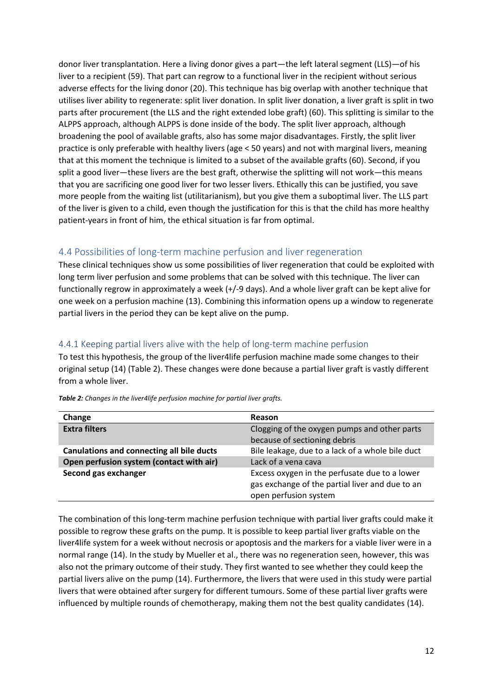donor liver transplantation. Here a living donor gives a part—the left lateral segment (LLS)—of his liver to a recipient (59). That part can regrow to a functional liver in the recipient without serious adverse effects for the living donor (20). This technique has big overlap with another technique that utilises liver ability to regenerate: split liver donation. In split liver donation, a liver graft is split in two parts after procurement (the LLS and the right extended lobe graft) (60). This splitting is similar to the ALPPS approach, although ALPPS is done inside of the body. The split liver approach, although broadening the pool of available grafts, also has some major disadvantages. Firstly, the split liver practice is only preferable with healthy livers (age < 50 years) and not with marginal livers, meaning that at this moment the technique is limited to a subset of the available grafts (60). Second, if you split a good liver—these livers are the best graft, otherwise the splitting will not work—this means that you are sacrificing one good liver for two lesser livers. Ethically this can be justified, you save more people from the waiting list (utilitarianism), but you give them a suboptimal liver. The LLS part of the liver is given to a child, even though the justification for this is that the child has more healthy patient-years in front of him, the ethical situation is far from optimal.

### <span id="page-11-0"></span>4.4 Possibilities of long-term machine perfusion and liver regeneration

These clinical techniques show us some possibilities of liver regeneration that could be exploited with long term liver perfusion and some problems that can be solved with this technique. The liver can functionally regrow in approximately a week (+/-9 days). And a whole liver graft can be kept alive for one week on a perfusion machine (13). Combining this information opens up a window to regenerate partial livers in the period they can be kept alive on the pump.

### <span id="page-11-1"></span>4.4.1 Keeping partial livers alive with the help of long-term machine perfusion

To test this hypothesis, the group of the liver4life perfusion machine made some changes to their original setup (14) (Table 2). These changes were done because a partial liver graft is vastly different from a whole liver.

| Change                                           | Reason                                                                                                                    |
|--------------------------------------------------|---------------------------------------------------------------------------------------------------------------------------|
| <b>Extra filters</b>                             | Clogging of the oxygen pumps and other parts                                                                              |
|                                                  | because of sectioning debris                                                                                              |
| <b>Canulations and connecting all bile ducts</b> | Bile leakage, due to a lack of a whole bile duct                                                                          |
| Open perfusion system (contact with air)         | Lack of a vena cava                                                                                                       |
| Second gas exchanger                             | Excess oxygen in the perfusate due to a lower<br>gas exchange of the partial liver and due to an<br>open perfusion system |

*Table 2: Changes in the liver4life perfusion machine for partial liver grafts.*

The combination of this long-term machine perfusion technique with partial liver grafts could make it possible to regrow these grafts on the pump. It is possible to keep partial liver grafts viable on the liver4life system for a week without necrosis or apoptosis and the markers for a viable liver were in a normal range (14). In the study by Mueller et al., there was no regeneration seen, however, this was also not the primary outcome of their study. They first wanted to see whether they could keep the partial livers alive on the pump (14). Furthermore, the livers that were used in this study were partial livers that were obtained after surgery for different tumours. Some of these partial liver grafts were influenced by multiple rounds of chemotherapy, making them not the best quality candidates (14).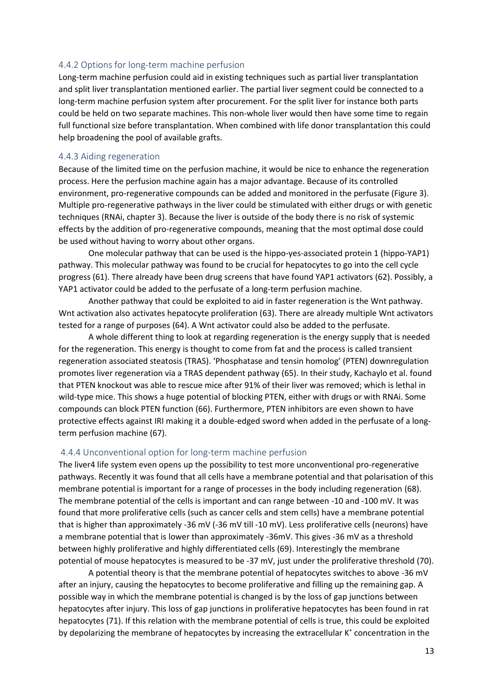#### <span id="page-12-0"></span>4.4.2 Options for long-term machine perfusion

Long-term machine perfusion could aid in existing techniques such as partial liver transplantation and split liver transplantation mentioned earlier. The partial liver segment could be connected to a long-term machine perfusion system after procurement. For the split liver for instance both parts could be held on two separate machines. This non-whole liver would then have some time to regain full functional size before transplantation. When combined with life donor transplantation this could help broadening the pool of available grafts.

#### <span id="page-12-1"></span>4.4.3 Aiding regeneration

Because of the limited time on the perfusion machine, it would be nice to enhance the regeneration process. Here the perfusion machine again has a major advantage. Because of its controlled environment, pro-regenerative compounds can be added and monitored in the perfusate (Figure 3). Multiple pro-regenerative pathways in the liver could be stimulated with either drugs or with genetic techniques (RNAi, chapter 3). Because the liver is outside of the body there is no risk of systemic effects by the addition of pro-regenerative compounds, meaning that the most optimal dose could be used without having to worry about other organs.

One molecular pathway that can be used is the hippo-yes-associated protein 1 (hippo-YAP1) pathway. This molecular pathway was found to be crucial for hepatocytes to go into the cell cycle progress (61). There already have been drug screens that have found YAP1 activators (62). Possibly, a YAP1 activator could be added to the perfusate of a long-term perfusion machine.

Another pathway that could be exploited to aid in faster regeneration is the Wnt pathway. Wnt activation also activates hepatocyte proliferation (63). There are already multiple Wnt activators tested for a range of purposes (64). A Wnt activator could also be added to the perfusate.

A whole different thing to look at regarding regeneration is the energy supply that is needed for the regeneration. This energy is thought to come from fat and the process is called transient regeneration associated steatosis (TRAS). 'Phosphatase and tensin homolog' (PTEN) downregulation promotes liver regeneration via a TRAS dependent pathway (65). In their study, Kachaylo et al. found that PTEN knockout was able to rescue mice after 91% of their liver was removed; which is lethal in wild-type mice. This shows a huge potential of blocking PTEN, either with drugs or with RNAi. Some compounds can block PTEN function (66). Furthermore, PTEN inhibitors are even shown to have protective effects against IRI making it a double-edged sword when added in the perfusate of a longterm perfusion machine (67).

#### <span id="page-12-2"></span>4.4.4 Unconventional option for long-term machine perfusion

The liver4 life system even opens up the possibility to test more unconventional pro-regenerative pathways. Recently it was found that all cells have a membrane potential and that polarisation of this membrane potential is important for a range of processes in the body including regeneration (68). The membrane potential of the cells is important and can range between -10 and -100 mV. It was found that more proliferative cells (such as cancer cells and stem cells) have a membrane potential that is higher than approximately -36 mV (-36 mV till -10 mV). Less proliferative cells (neurons) have a membrane potential that is lower than approximately -36mV. This gives -36 mV as a threshold between highly proliferative and highly differentiated cells (69). Interestingly the membrane potential of mouse hepatocytes is measured to be -37 mV, just under the proliferative threshold (70).

A potential theory is that the membrane potential of hepatocytes switches to above -36 mV after an injury, causing the hepatocytes to become proliferative and filling up the remaining gap. A possible way in which the membrane potential is changed is by the loss of gap junctions between hepatocytes after injury. This loss of gap junctions in proliferative hepatocytes has been found in rat hepatocytes (71). If this relation with the membrane potential of cells is true, this could be exploited by depolarizing the membrane of hepatocytes by increasing the extracellular K<sup>+</sup> concentration in the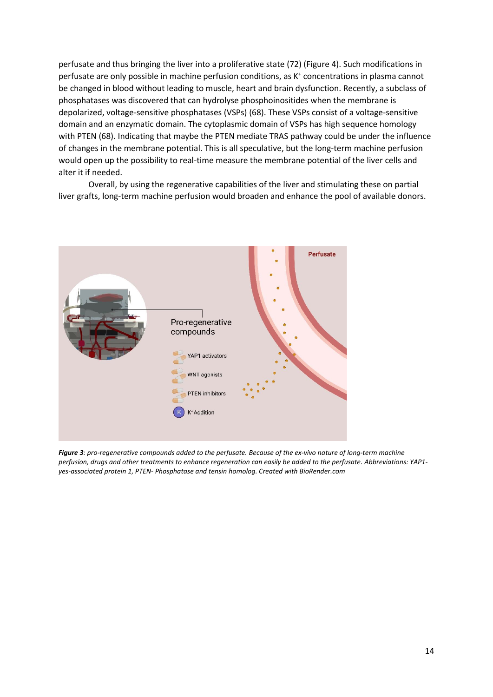perfusate and thus bringing the liver into a proliferative state (72) (Figure 4). Such modifications in perfusate are only possible in machine perfusion conditions, as K<sup>+</sup> concentrations in plasma cannot be changed in blood without leading to muscle, heart and brain dysfunction. Recently, a subclass of phosphatases was discovered that can hydrolyse phosphoinositides when the membrane is depolarized, voltage-sensitive phosphatases (VSPs) (68). These VSPs consist of a voltage-sensitive domain and an enzymatic domain. The cytoplasmic domain of VSPs has high sequence homology with PTEN (68). Indicating that maybe the PTEN mediate TRAS pathway could be under the influence of changes in the membrane potential. This is all speculative, but the long-term machine perfusion would open up the possibility to real-time measure the membrane potential of the liver cells and alter it if needed.

Overall, by using the regenerative capabilities of the liver and stimulating these on partial liver grafts, long-term machine perfusion would broaden and enhance the pool of available donors.



*Figure 3: pro-regenerative compounds added to the perfusate. Because of the ex-vivo nature of long-term machine perfusion, drugs and other treatments to enhance regeneration can easily be added to the perfusate. Abbreviations: YAP1 yes-associated protein 1, PTEN- Phosphatase and tensin homolog. Created with BioRender.com*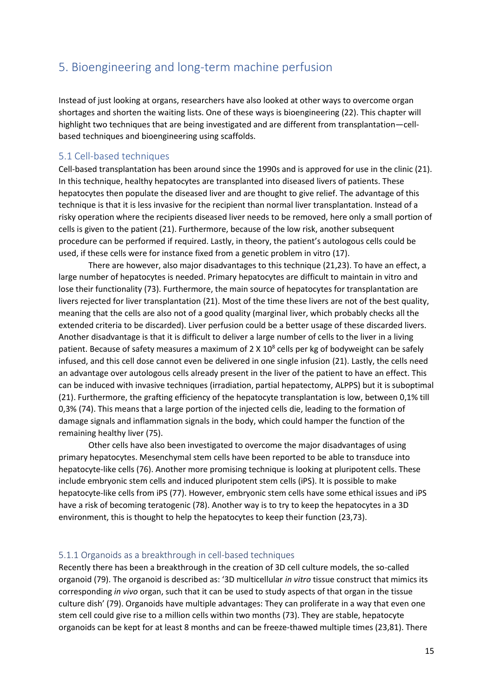## <span id="page-14-0"></span>5. Bioengineering and long-term machine perfusion

Instead of just looking at organs, researchers have also looked at other ways to overcome organ shortages and shorten the waiting lists. One of these ways is bioengineering (22). This chapter will highlight two techniques that are being investigated and are different from transplantation—cellbased techniques and bioengineering using scaffolds.

### <span id="page-14-1"></span>5.1 Cell-based techniques

Cell-based transplantation has been around since the 1990s and is approved for use in the clinic (21). In this technique, healthy hepatocytes are transplanted into diseased livers of patients. These hepatocytes then populate the diseased liver and are thought to give relief. The advantage of this technique is that it is less invasive for the recipient than normal liver transplantation. Instead of a risky operation where the recipients diseased liver needs to be removed, here only a small portion of cells is given to the patient (21). Furthermore, because of the low risk, another subsequent procedure can be performed if required. Lastly, in theory, the patient's autologous cells could be used, if these cells were for instance fixed from a genetic problem in vitro (17).

There are however, also major disadvantages to this technique (21,23). To have an effect, a large number of hepatocytes is needed. Primary hepatocytes are difficult to maintain in vitro and lose their functionality (73). Furthermore, the main source of hepatocytes for transplantation are livers rejected for liver transplantation (21). Most of the time these livers are not of the best quality, meaning that the cells are also not of a good quality (marginal liver, which probably checks all the extended criteria to be discarded). Liver perfusion could be a better usage of these discarded livers. Another disadvantage is that it is difficult to deliver a large number of cells to the liver in a living patient. Because of safety measures a maximum of 2 X 10<sup>8</sup> cells per kg of bodyweight can be safely infused, and this cell dose cannot even be delivered in one single infusion (21). Lastly, the cells need an advantage over autologous cells already present in the liver of the patient to have an effect. This can be induced with invasive techniques (irradiation, partial hepatectomy, ALPPS) but it is suboptimal (21). Furthermore, the grafting efficiency of the hepatocyte transplantation is low, between 0,1% till 0,3% (74). This means that a large portion of the injected cells die, leading to the formation of damage signals and inflammation signals in the body, which could hamper the function of the remaining healthy liver (75).

Other cells have also been investigated to overcome the major disadvantages of using primary hepatocytes. Mesenchymal stem cells have been reported to be able to transduce into hepatocyte-like cells (76). Another more promising technique is looking at pluripotent cells. These include embryonic stem cells and induced pluripotent stem cells (iPS). It is possible to make hepatocyte-like cells from iPS (77). However, embryonic stem cells have some ethical issues and iPS have a risk of becoming teratogenic (78). Another way is to try to keep the hepatocytes in a 3D environment, this is thought to help the hepatocytes to keep their function (23,73).

#### <span id="page-14-2"></span>5.1.1 Organoids as a breakthrough in cell-based techniques

Recently there has been a breakthrough in the creation of 3D cell culture models, the so-called organoid (79). The organoid is described as: '3D multicellular *in vitro* tissue construct that mimics its corresponding *in vivo* organ, such that it can be used to study aspects of that organ in the tissue culture dish' (79). Organoids have multiple advantages: They can proliferate in a way that even one stem cell could give rise to a million cells within two months (73). They are stable, hepatocyte organoids can be kept for at least 8 months and can be freeze-thawed multiple times (23,81). There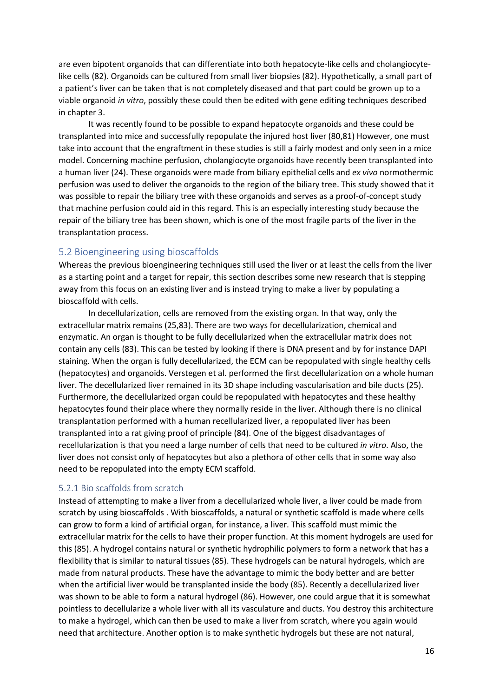are even bipotent organoids that can differentiate into both hepatocyte-like cells and cholangiocytelike cells (82). Organoids can be cultured from small liver biopsies (82). Hypothetically, a small part of a patient's liver can be taken that is not completely diseased and that part could be grown up to a viable organoid *in vitro*, possibly these could then be edited with gene editing techniques described in chapter 3.

It was recently found to be possible to expand hepatocyte organoids and these could be transplanted into mice and successfully repopulate the injured host liver (80,81) However, one must take into account that the engraftment in these studies is still a fairly modest and only seen in a mice model. Concerning machine perfusion, cholangiocyte organoids have recently been transplanted into a human liver (24). These organoids were made from biliary epithelial cells and *ex vivo* normothermic perfusion was used to deliver the organoids to the region of the biliary tree. This study showed that it was possible to repair the biliary tree with these organoids and serves as a proof-of-concept study that machine perfusion could aid in this regard. This is an especially interesting study because the repair of the biliary tree has been shown, which is one of the most fragile parts of the liver in the transplantation process.

### <span id="page-15-0"></span>5.2 Bioengineering using bioscaffolds

Whereas the previous bioengineering techniques still used the liver or at least the cells from the liver as a starting point and a target for repair, this section describes some new research that is stepping away from this focus on an existing liver and is instead trying to make a liver by populating a bioscaffold with cells.

In decellularization, cells are removed from the existing organ. In that way, only the extracellular matrix remains (25,83). There are two ways for decellularization, chemical and enzymatic. An organ is thought to be fully decellularized when the extracellular matrix does not contain any cells (83). This can be tested by looking if there is DNA present and by for instance DAPI staining. When the organ is fully decellularized, the ECM can be repopulated with single healthy cells (hepatocytes) and organoids. Verstegen et al. performed the first decellularization on a whole human liver. The decellularized liver remained in its 3D shape including vascularisation and bile ducts (25). Furthermore, the decellularized organ could be repopulated with hepatocytes and these healthy hepatocytes found their place where they normally reside in the liver. Although there is no clinical transplantation performed with a human recellularized liver, a repopulated liver has been transplanted into a rat giving proof of principle (84). One of the biggest disadvantages of recellularization is that you need a large number of cells that need to be cultured *in vitro*. Also, the liver does not consist only of hepatocytes but also a plethora of other cells that in some way also need to be repopulated into the empty ECM scaffold.

#### <span id="page-15-1"></span>5.2.1 Bio scaffolds from scratch

Instead of attempting to make a liver from a decellularized whole liver, a liver could be made from scratch by using bioscaffolds . With bioscaffolds, a natural or synthetic scaffold is made where cells can grow to form a kind of artificial organ, for instance, a liver. This scaffold must mimic the extracellular matrix for the cells to have their proper function. At this moment hydrogels are used for this (85). A hydrogel contains natural or synthetic hydrophilic polymers to form a network that has a flexibility that is similar to natural tissues (85). These hydrogels can be natural hydrogels, which are made from natural products. These have the advantage to mimic the body better and are better when the artificial liver would be transplanted inside the body (85). Recently a decellularized liver was shown to be able to form a natural hydrogel (86). However, one could argue that it is somewhat pointless to decellularize a whole liver with all its vasculature and ducts. You destroy this architecture to make a hydrogel, which can then be used to make a liver from scratch, where you again would need that architecture. Another option is to make synthetic hydrogels but these are not natural,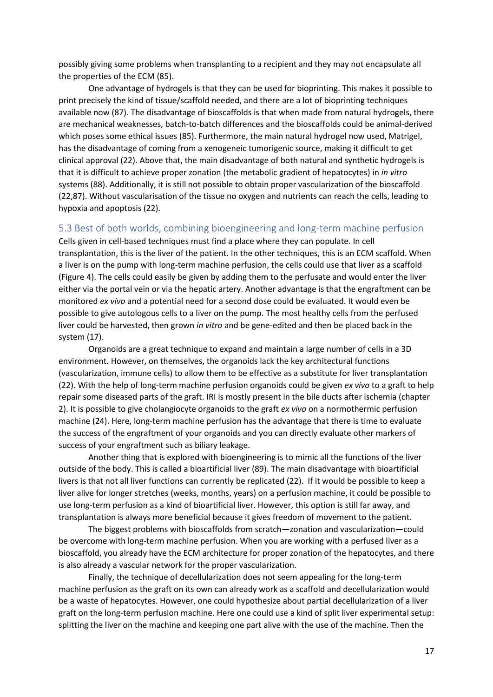possibly giving some problems when transplanting to a recipient and they may not encapsulate all the properties of the ECM (85).

One advantage of hydrogels is that they can be used for bioprinting. This makes it possible to print precisely the kind of tissue/scaffold needed, and there are a lot of bioprinting techniques available now (87). The disadvantage of bioscaffolds is that when made from natural hydrogels, there are mechanical weaknesses, batch-to-batch differences and the bioscaffolds could be animal-derived which poses some ethical issues (85). Furthermore, the main natural hydrogel now used, Matrigel, has the disadvantage of coming from a xenogeneic tumorigenic source, making it difficult to get clinical approval (22). Above that, the main disadvantage of both natural and synthetic hydrogels is that it is difficult to achieve proper zonation (the metabolic gradient of hepatocytes) in *in vitro* systems (88). Additionally, it is still not possible to obtain proper vascularization of the bioscaffold (22,87). Without vascularisation of the tissue no oxygen and nutrients can reach the cells, leading to hypoxia and apoptosis (22).

#### <span id="page-16-0"></span>5.3 Best of both worlds, combining bioengineering and long-term machine perfusion

Cells given in cell-based techniques must find a place where they can populate. In cell transplantation, this is the liver of the patient. In the other techniques, this is an ECM scaffold. When a liver is on the pump with long-term machine perfusion, the cells could use that liver as a scaffold (Figure 4). The cells could easily be given by adding them to the perfusate and would enter the liver either via the portal vein or via the hepatic artery. Another advantage is that the engraftment can be monitored *ex vivo* and a potential need for a second dose could be evaluated. It would even be possible to give autologous cells to a liver on the pump. The most healthy cells from the perfused liver could be harvested, then grown *in vitro* and be gene-edited and then be placed back in the system (17).

Organoids are a great technique to expand and maintain a large number of cells in a 3D environment. However, on themselves, the organoids lack the key architectural functions (vascularization, immune cells) to allow them to be effective as a substitute for liver transplantation (22). With the help of long-term machine perfusion organoids could be given *ex vivo* to a graft to help repair some diseased parts of the graft. IRI is mostly present in the bile ducts after ischemia (chapter 2). It is possible to give cholangiocyte organoids to the graft *ex vivo* on a normothermic perfusion machine (24). Here, long-term machine perfusion has the advantage that there is time to evaluate the success of the engraftment of your organoids and you can directly evaluate other markers of success of your engraftment such as biliary leakage.

Another thing that is explored with bioengineering is to mimic all the functions of the liver outside of the body. This is called a bioartificial liver (89). The main disadvantage with bioartificial livers is that not all liver functions can currently be replicated (22). If it would be possible to keep a liver alive for longer stretches (weeks, months, years) on a perfusion machine, it could be possible to use long-term perfusion as a kind of bioartificial liver. However, this option is still far away, and transplantation is always more beneficial because it gives freedom of movement to the patient.

The biggest problems with bioscaffolds from scratch—zonation and vascularization—could be overcome with long-term machine perfusion. When you are working with a perfused liver as a bioscaffold, you already have the ECM architecture for proper zonation of the hepatocytes, and there is also already a vascular network for the proper vascularization.

Finally, the technique of decellularization does not seem appealing for the long-term machine perfusion as the graft on its own can already work as a scaffold and decellularization would be a waste of hepatocytes. However, one could hypothesize about partial decellularization of a liver graft on the long-term perfusion machine. Here one could use a kind of split liver experimental setup: splitting the liver on the machine and keeping one part alive with the use of the machine. Then the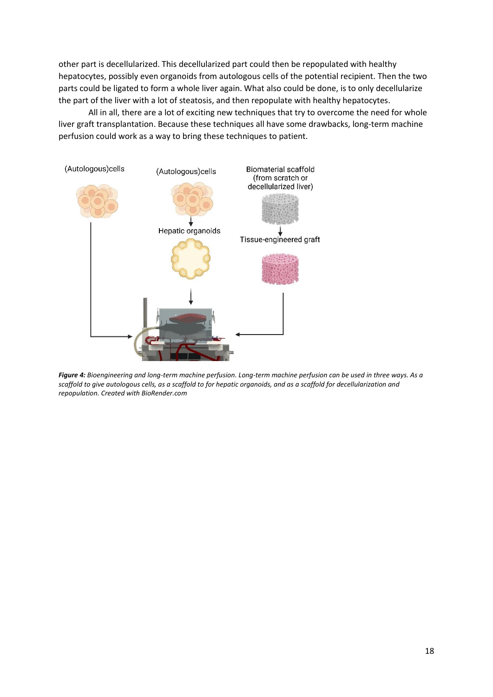other part is decellularized. This decellularized part could then be repopulated with healthy hepatocytes, possibly even organoids from autologous cells of the potential recipient. Then the two parts could be ligated to form a whole liver again. What also could be done, is to only decellularize the part of the liver with a lot of steatosis, and then repopulate with healthy hepatocytes.

All in all, there are a lot of exciting new techniques that try to overcome the need for whole liver graft transplantation. Because these techniques all have some drawbacks, long-term machine perfusion could work as a way to bring these techniques to patient.



*Figure 4: Bioengineering and long-term machine perfusion. Long-term machine perfusion can be used in three ways. As a scaffold to give autologous cells, as a scaffold to for hepatic organoids, and as a scaffold for decellularization and repopulation. Created with BioRender.com*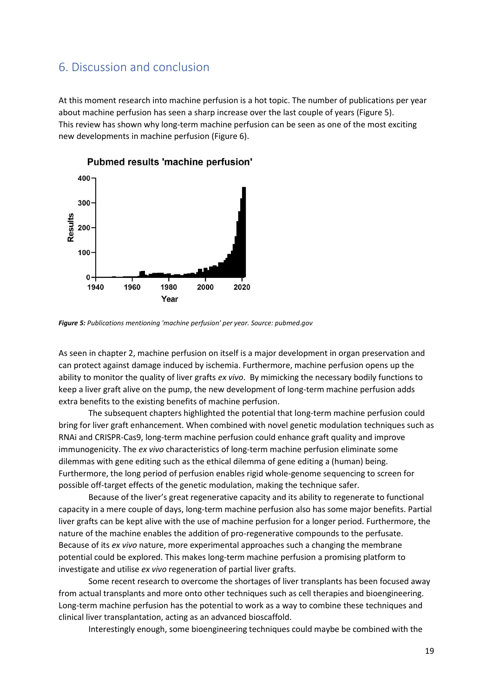## <span id="page-18-0"></span>6. Discussion and conclusion

At this moment research into machine perfusion is a hot topic. The number of publications per year about machine perfusion has seen a sharp increase over the last couple of years (Figure 5). This review has shown why long-term machine perfusion can be seen as one of the most exciting new developments in machine perfusion (Figure 6).



Pubmed results 'machine perfusion'

*Figure 5: Publications mentioning 'machine perfusion' per year. Source: pubmed.gov*

As seen in chapter 2, machine perfusion on itself is a major development in organ preservation and can protect against damage induced by ischemia. Furthermore, machine perfusion opens up the ability to monitor the quality of liver grafts *ex vivo*. By mimicking the necessary bodily functions to keep a liver graft alive on the pump, the new development of long-term machine perfusion adds extra benefits to the existing benefits of machine perfusion.

The subsequent chapters highlighted the potential that long-term machine perfusion could bring for liver graft enhancement. When combined with novel genetic modulation techniques such as RNAi and CRISPR-Cas9, long-term machine perfusion could enhance graft quality and improve immunogenicity. The *ex vivo* characteristics of long-term machine perfusion eliminate some dilemmas with gene editing such as the ethical dilemma of gene editing a (human) being. Furthermore, the long period of perfusion enables rigid whole-genome sequencing to screen for possible off-target effects of the genetic modulation, making the technique safer.

Because of the liver's great regenerative capacity and its ability to regenerate to functional capacity in a mere couple of days, long-term machine perfusion also has some major benefits. Partial liver grafts can be kept alive with the use of machine perfusion for a longer period. Furthermore, the nature of the machine enables the addition of pro-regenerative compounds to the perfusate. Because of its *ex vivo* nature, more experimental approaches such a changing the membrane potential could be explored. This makes long-term machine perfusion a promising platform to investigate and utilise *ex vivo* regeneration of partial liver grafts.

Some recent research to overcome the shortages of liver transplants has been focused away from actual transplants and more onto other techniques such as cell therapies and bioengineering. Long-term machine perfusion has the potential to work as a way to combine these techniques and clinical liver transplantation, acting as an advanced bioscaffold.

Interestingly enough, some bioengineering techniques could maybe be combined with the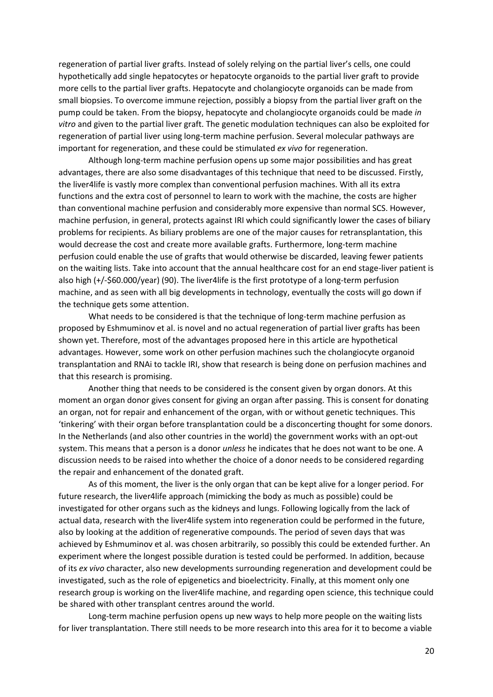regeneration of partial liver grafts. Instead of solely relying on the partial liver's cells, one could hypothetically add single hepatocytes or hepatocyte organoids to the partial liver graft to provide more cells to the partial liver grafts. Hepatocyte and cholangiocyte organoids can be made from small biopsies. To overcome immune rejection, possibly a biopsy from the partial liver graft on the pump could be taken. From the biopsy, hepatocyte and cholangiocyte organoids could be made *in vitro* and given to the partial liver graft. The genetic modulation techniques can also be exploited for regeneration of partial liver using long-term machine perfusion. Several molecular pathways are important for regeneration, and these could be stimulated *ex vivo* for regeneration.

Although long-term machine perfusion opens up some major possibilities and has great advantages, there are also some disadvantages of this technique that need to be discussed. Firstly, the liver4life is vastly more complex than conventional perfusion machines. With all its extra functions and the extra cost of personnel to learn to work with the machine, the costs are higher than conventional machine perfusion and considerably more expensive than normal SCS. However, machine perfusion, in general, protects against IRI which could significantly lower the cases of biliary problems for recipients. As biliary problems are one of the major causes for retransplantation, this would decrease the cost and create more available grafts. Furthermore, long-term machine perfusion could enable the use of grafts that would otherwise be discarded, leaving fewer patients on the waiting lists. Take into account that the annual healthcare cost for an end stage-liver patient is also high (+/-\$60.000/year) (90). The liver4life is the first prototype of a long-term perfusion machine, and as seen with all big developments in technology, eventually the costs will go down if the technique gets some attention.

What needs to be considered is that the technique of long-term machine perfusion as proposed by Eshmuminov et al. is novel and no actual regeneration of partial liver grafts has been shown yet. Therefore, most of the advantages proposed here in this article are hypothetical advantages. However, some work on other perfusion machines such the cholangiocyte organoid transplantation and RNAi to tackle IRI, show that research is being done on perfusion machines and that this research is promising.

Another thing that needs to be considered is the consent given by organ donors. At this moment an organ donor gives consent for giving an organ after passing. This is consent for donating an organ, not for repair and enhancement of the organ, with or without genetic techniques. This 'tinkering' with their organ before transplantation could be a disconcerting thought for some donors. In the Netherlands (and also other countries in the world) the government works with an opt-out system. This means that a person is a donor *unless* he indicates that he does not want to be one. A discussion needs to be raised into whether the choice of a donor needs to be considered regarding the repair and enhancement of the donated graft.

As of this moment, the liver is the only organ that can be kept alive for a longer period. For future research, the liver4life approach (mimicking the body as much as possible) could be investigated for other organs such as the kidneys and lungs. Following logically from the lack of actual data, research with the liver4life system into regeneration could be performed in the future, also by looking at the addition of regenerative compounds. The period of seven days that was achieved by Eshmuminov et al. was chosen arbitrarily, so possibly this could be extended further. An experiment where the longest possible duration is tested could be performed. In addition, because of its *ex vivo* character, also new developments surrounding regeneration and development could be investigated, such as the role of epigenetics and bioelectricity. Finally, at this moment only one research group is working on the liver4life machine, and regarding open science, this technique could be shared with other transplant centres around the world.

Long-term machine perfusion opens up new ways to help more people on the waiting lists for liver transplantation. There still needs to be more research into this area for it to become a viable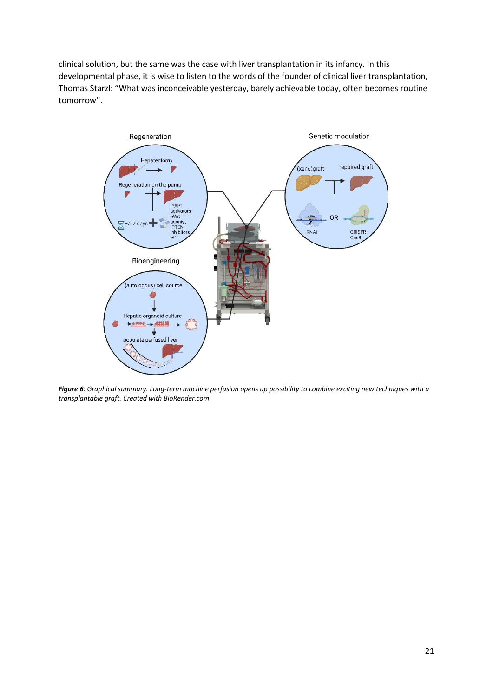clinical solution, but the same was the case with liver transplantation in its infancy. In this developmental phase, it is wise to listen to the words of the founder of clinical liver transplantation, Thomas Starzl: "What was inconceivable yesterday, barely achievable today, often becomes routine tomorrow''.



*Figure 6: Graphical summary. Long-term machine perfusion opens up possibility to combine exciting new techniques with a transplantable graft. Created with BioRender.com*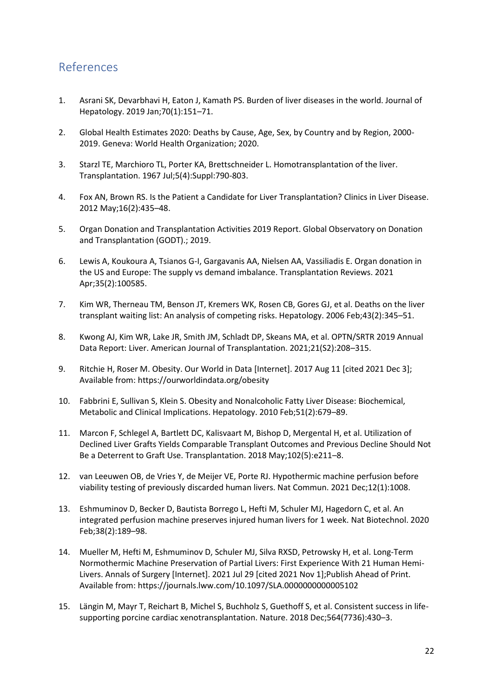## <span id="page-21-0"></span>References

- 1. Asrani SK, Devarbhavi H, Eaton J, Kamath PS. Burden of liver diseases in the world. Journal of Hepatology. 2019 Jan;70(1):151–71.
- 2. Global Health Estimates 2020: Deaths by Cause, Age, Sex, by Country and by Region, 2000- 2019. Geneva: World Health Organization; 2020.
- 3. Starzl TE, Marchioro TL, Porter KA, Brettschneider L. Homotransplantation of the liver. Transplantation. 1967 Jul;5(4):Suppl:790-803.
- 4. Fox AN, Brown RS. Is the Patient a Candidate for Liver Transplantation? Clinics in Liver Disease. 2012 May;16(2):435–48.
- 5. Organ Donation and Transplantation Activities 2019 Report. Global Observatory on Donation and Transplantation (GODT).; 2019.
- 6. Lewis A, Koukoura A, Tsianos G-I, Gargavanis AA, Nielsen AA, Vassiliadis E. Organ donation in the US and Europe: The supply vs demand imbalance. Transplantation Reviews. 2021 Apr;35(2):100585.
- 7. Kim WR, Therneau TM, Benson JT, Kremers WK, Rosen CB, Gores GJ, et al. Deaths on the liver transplant waiting list: An analysis of competing risks. Hepatology. 2006 Feb;43(2):345–51.
- 8. Kwong AJ, Kim WR, Lake JR, Smith JM, Schladt DP, Skeans MA, et al. OPTN/SRTR 2019 Annual Data Report: Liver. American Journal of Transplantation. 2021;21(S2):208–315.
- 9. Ritchie H, Roser M. Obesity. Our World in Data [Internet]. 2017 Aug 11 [cited 2021 Dec 3]; Available from: https://ourworldindata.org/obesity
- 10. Fabbrini E, Sullivan S, Klein S. Obesity and Nonalcoholic Fatty Liver Disease: Biochemical, Metabolic and Clinical Implications. Hepatology. 2010 Feb;51(2):679–89.
- 11. Marcon F, Schlegel A, Bartlett DC, Kalisvaart M, Bishop D, Mergental H, et al. Utilization of Declined Liver Grafts Yields Comparable Transplant Outcomes and Previous Decline Should Not Be a Deterrent to Graft Use. Transplantation. 2018 May;102(5):e211–8.
- 12. van Leeuwen OB, de Vries Y, de Meijer VE, Porte RJ. Hypothermic machine perfusion before viability testing of previously discarded human livers. Nat Commun. 2021 Dec;12(1):1008.
- 13. Eshmuminov D, Becker D, Bautista Borrego L, Hefti M, Schuler MJ, Hagedorn C, et al. An integrated perfusion machine preserves injured human livers for 1 week. Nat Biotechnol. 2020 Feb;38(2):189–98.
- 14. Mueller M, Hefti M, Eshmuminov D, Schuler MJ, Silva RXSD, Petrowsky H, et al. Long-Term Normothermic Machine Preservation of Partial Livers: First Experience With 21 Human Hemi-Livers. Annals of Surgery [Internet]. 2021 Jul 29 [cited 2021 Nov 1];Publish Ahead of Print. Available from: https://journals.lww.com/10.1097/SLA.0000000000005102
- 15. Längin M, Mayr T, Reichart B, Michel S, Buchholz S, Guethoff S, et al. Consistent success in lifesupporting porcine cardiac xenotransplantation. Nature. 2018 Dec;564(7736):430–3.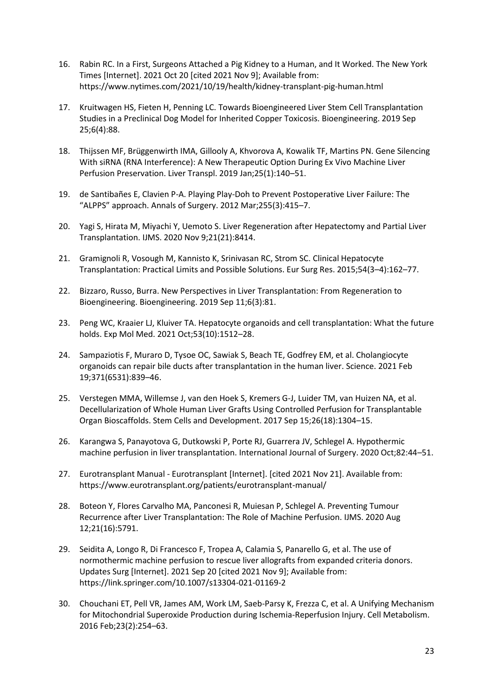- 16. Rabin RC. In a First, Surgeons Attached a Pig Kidney to a Human, and It Worked. The New York Times [Internet]. 2021 Oct 20 [cited 2021 Nov 9]; Available from: https://www.nytimes.com/2021/10/19/health/kidney-transplant-pig-human.html
- 17. Kruitwagen HS, Fieten H, Penning LC. Towards Bioengineered Liver Stem Cell Transplantation Studies in a Preclinical Dog Model for Inherited Copper Toxicosis. Bioengineering. 2019 Sep 25;6(4):88.
- 18. Thijssen MF, Brüggenwirth IMA, Gillooly A, Khvorova A, Kowalik TF, Martins PN. Gene Silencing With siRNA (RNA Interference): A New Therapeutic Option During Ex Vivo Machine Liver Perfusion Preservation. Liver Transpl. 2019 Jan;25(1):140–51.
- 19. de Santibañes E, Clavien P-A. Playing Play-Doh to Prevent Postoperative Liver Failure: The "ALPPS" approach. Annals of Surgery. 2012 Mar;255(3):415–7.
- 20. Yagi S, Hirata M, Miyachi Y, Uemoto S. Liver Regeneration after Hepatectomy and Partial Liver Transplantation. IJMS. 2020 Nov 9;21(21):8414.
- 21. Gramignoli R, Vosough M, Kannisto K, Srinivasan RC, Strom SC. Clinical Hepatocyte Transplantation: Practical Limits and Possible Solutions. Eur Surg Res. 2015;54(3–4):162–77.
- 22. Bizzaro, Russo, Burra. New Perspectives in Liver Transplantation: From Regeneration to Bioengineering. Bioengineering. 2019 Sep 11;6(3):81.
- 23. Peng WC, Kraaier LJ, Kluiver TA. Hepatocyte organoids and cell transplantation: What the future holds. Exp Mol Med. 2021 Oct;53(10):1512–28.
- 24. Sampaziotis F, Muraro D, Tysoe OC, Sawiak S, Beach TE, Godfrey EM, et al. Cholangiocyte organoids can repair bile ducts after transplantation in the human liver. Science. 2021 Feb 19;371(6531):839–46.
- 25. Verstegen MMA, Willemse J, van den Hoek S, Kremers G-J, Luider TM, van Huizen NA, et al. Decellularization of Whole Human Liver Grafts Using Controlled Perfusion for Transplantable Organ Bioscaffolds. Stem Cells and Development. 2017 Sep 15;26(18):1304–15.
- 26. Karangwa S, Panayotova G, Dutkowski P, Porte RJ, Guarrera JV, Schlegel A. Hypothermic machine perfusion in liver transplantation. International Journal of Surgery. 2020 Oct;82:44–51.
- 27. Eurotransplant Manual Eurotransplant [Internet]. [cited 2021 Nov 21]. Available from: https://www.eurotransplant.org/patients/eurotransplant-manual/
- 28. Boteon Y, Flores Carvalho MA, Panconesi R, Muiesan P, Schlegel A. Preventing Tumour Recurrence after Liver Transplantation: The Role of Machine Perfusion. IJMS. 2020 Aug 12;21(16):5791.
- 29. Seidita A, Longo R, Di Francesco F, Tropea A, Calamia S, Panarello G, et al. The use of normothermic machine perfusion to rescue liver allografts from expanded criteria donors. Updates Surg [Internet]. 2021 Sep 20 [cited 2021 Nov 9]; Available from: https://link.springer.com/10.1007/s13304-021-01169-2
- 30. Chouchani ET, Pell VR, James AM, Work LM, Saeb-Parsy K, Frezza C, et al. A Unifying Mechanism for Mitochondrial Superoxide Production during Ischemia-Reperfusion Injury. Cell Metabolism. 2016 Feb;23(2):254–63.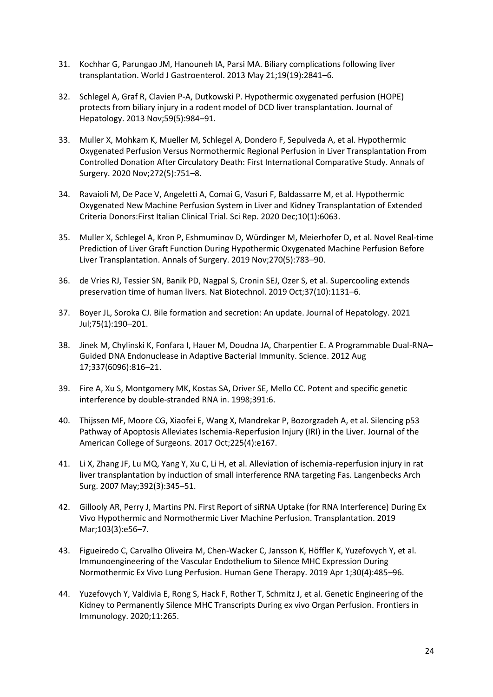- 31. Kochhar G, Parungao JM, Hanouneh IA, Parsi MA. Biliary complications following liver transplantation. World J Gastroenterol. 2013 May 21;19(19):2841–6.
- 32. Schlegel A, Graf R, Clavien P-A, Dutkowski P. Hypothermic oxygenated perfusion (HOPE) protects from biliary injury in a rodent model of DCD liver transplantation. Journal of Hepatology. 2013 Nov;59(5):984–91.
- 33. Muller X, Mohkam K, Mueller M, Schlegel A, Dondero F, Sepulveda A, et al. Hypothermic Oxygenated Perfusion Versus Normothermic Regional Perfusion in Liver Transplantation From Controlled Donation After Circulatory Death: First International Comparative Study. Annals of Surgery. 2020 Nov;272(5):751–8.
- 34. Ravaioli M, De Pace V, Angeletti A, Comai G, Vasuri F, Baldassarre M, et al. Hypothermic Oxygenated New Machine Perfusion System in Liver and Kidney Transplantation of Extended Criteria Donors:First Italian Clinical Trial. Sci Rep. 2020 Dec;10(1):6063.
- 35. Muller X, Schlegel A, Kron P, Eshmuminov D, Würdinger M, Meierhofer D, et al. Novel Real-time Prediction of Liver Graft Function During Hypothermic Oxygenated Machine Perfusion Before Liver Transplantation. Annals of Surgery. 2019 Nov;270(5):783–90.
- 36. de Vries RJ, Tessier SN, Banik PD, Nagpal S, Cronin SEJ, Ozer S, et al. Supercooling extends preservation time of human livers. Nat Biotechnol. 2019 Oct;37(10):1131–6.
- 37. Boyer JL, Soroka CJ. Bile formation and secretion: An update. Journal of Hepatology. 2021 Jul;75(1):190–201.
- 38. Jinek M, Chylinski K, Fonfara I, Hauer M, Doudna JA, Charpentier E. A Programmable Dual-RNA– Guided DNA Endonuclease in Adaptive Bacterial Immunity. Science. 2012 Aug 17;337(6096):816–21.
- 39. Fire A, Xu S, Montgomery MK, Kostas SA, Driver SE, Mello CC. Potent and specific genetic interference by double-stranded RNA in. 1998;391:6.
- 40. Thijssen MF, Moore CG, Xiaofei E, Wang X, Mandrekar P, Bozorgzadeh A, et al. Silencing p53 Pathway of Apoptosis Alleviates Ischemia-Reperfusion Injury (IRI) in the Liver. Journal of the American College of Surgeons. 2017 Oct;225(4):e167.
- 41. Li X, Zhang JF, Lu MQ, Yang Y, Xu C, Li H, et al. Alleviation of ischemia-reperfusion injury in rat liver transplantation by induction of small interference RNA targeting Fas. Langenbecks Arch Surg. 2007 May;392(3):345–51.
- 42. Gillooly AR, Perry J, Martins PN. First Report of siRNA Uptake (for RNA Interference) During Ex Vivo Hypothermic and Normothermic Liver Machine Perfusion. Transplantation. 2019 Mar;103(3):e56–7.
- 43. Figueiredo C, Carvalho Oliveira M, Chen-Wacker C, Jansson K, Höffler K, Yuzefovych Y, et al. Immunoengineering of the Vascular Endothelium to Silence MHC Expression During Normothermic Ex Vivo Lung Perfusion. Human Gene Therapy. 2019 Apr 1;30(4):485–96.
- 44. Yuzefovych Y, Valdivia E, Rong S, Hack F, Rother T, Schmitz J, et al. Genetic Engineering of the Kidney to Permanently Silence MHC Transcripts During ex vivo Organ Perfusion. Frontiers in Immunology. 2020;11:265.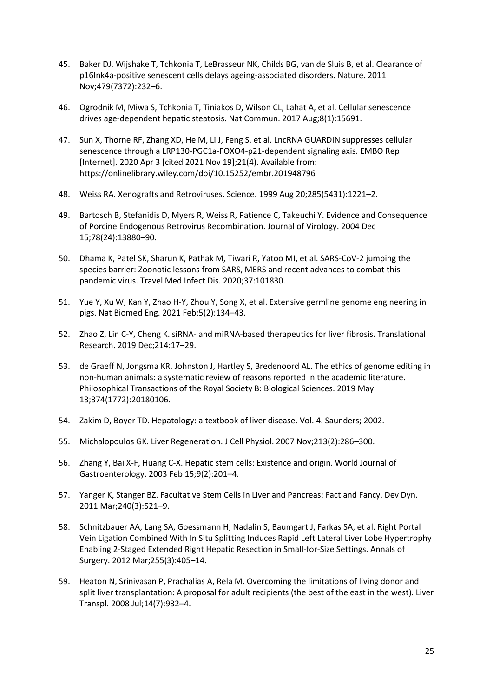- 45. Baker DJ, Wijshake T, Tchkonia T, LeBrasseur NK, Childs BG, van de Sluis B, et al. Clearance of p16Ink4a-positive senescent cells delays ageing-associated disorders. Nature. 2011 Nov;479(7372):232–6.
- 46. Ogrodnik M, Miwa S, Tchkonia T, Tiniakos D, Wilson CL, Lahat A, et al. Cellular senescence drives age-dependent hepatic steatosis. Nat Commun. 2017 Aug;8(1):15691.
- 47. Sun X, Thorne RF, Zhang XD, He M, Li J, Feng S, et al. LncRNA GUARDIN suppresses cellular senescence through a LRP130-PGC1a-FOXO4-p21-dependent signaling axis. EMBO Rep [Internet]. 2020 Apr 3 [cited 2021 Nov 19];21(4). Available from: https://onlinelibrary.wiley.com/doi/10.15252/embr.201948796
- 48. Weiss RA. Xenografts and Retroviruses. Science. 1999 Aug 20;285(5431):1221–2.
- 49. Bartosch B, Stefanidis D, Myers R, Weiss R, Patience C, Takeuchi Y. Evidence and Consequence of Porcine Endogenous Retrovirus Recombination. Journal of Virology. 2004 Dec 15;78(24):13880–90.
- 50. Dhama K, Patel SK, Sharun K, Pathak M, Tiwari R, Yatoo MI, et al. SARS-CoV-2 jumping the species barrier: Zoonotic lessons from SARS, MERS and recent advances to combat this pandemic virus. Travel Med Infect Dis. 2020;37:101830.
- 51. Yue Y, Xu W, Kan Y, Zhao H-Y, Zhou Y, Song X, et al. Extensive germline genome engineering in pigs. Nat Biomed Eng. 2021 Feb;5(2):134–43.
- 52. Zhao Z, Lin C-Y, Cheng K. siRNA- and miRNA-based therapeutics for liver fibrosis. Translational Research. 2019 Dec;214:17–29.
- 53. de Graeff N, Jongsma KR, Johnston J, Hartley S, Bredenoord AL. The ethics of genome editing in non-human animals: a systematic review of reasons reported in the academic literature. Philosophical Transactions of the Royal Society B: Biological Sciences. 2019 May 13;374(1772):20180106.
- 54. Zakim D, Boyer TD. Hepatology: a textbook of liver disease. Vol. 4. Saunders; 2002.
- 55. Michalopoulos GK. Liver Regeneration. J Cell Physiol. 2007 Nov;213(2):286–300.
- 56. Zhang Y, Bai X-F, Huang C-X. Hepatic stem cells: Existence and origin. World Journal of Gastroenterology. 2003 Feb 15;9(2):201–4.
- 57. Yanger K, Stanger BZ. Facultative Stem Cells in Liver and Pancreas: Fact and Fancy. Dev Dyn. 2011 Mar;240(3):521–9.
- 58. Schnitzbauer AA, Lang SA, Goessmann H, Nadalin S, Baumgart J, Farkas SA, et al. Right Portal Vein Ligation Combined With In Situ Splitting Induces Rapid Left Lateral Liver Lobe Hypertrophy Enabling 2-Staged Extended Right Hepatic Resection in Small-for-Size Settings. Annals of Surgery. 2012 Mar;255(3):405–14.
- 59. Heaton N, Srinivasan P, Prachalias A, Rela M. Overcoming the limitations of living donor and split liver transplantation: A proposal for adult recipients (the best of the east in the west). Liver Transpl. 2008 Jul;14(7):932–4.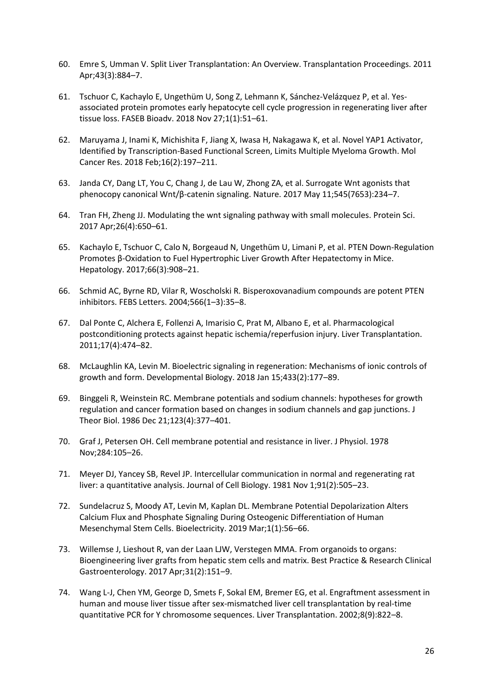- 60. Emre S, Umman V. Split Liver Transplantation: An Overview. Transplantation Proceedings. 2011 Apr;43(3):884–7.
- 61. Tschuor C, Kachaylo E, Ungethüm U, Song Z, Lehmann K, Sánchez‐Velázquez P, et al. Yes‐ associated protein promotes early hepatocyte cell cycle progression in regenerating liver after tissue loss. FASEB Bioadv. 2018 Nov 27;1(1):51–61.
- 62. Maruyama J, Inami K, Michishita F, Jiang X, Iwasa H, Nakagawa K, et al. Novel YAP1 Activator, Identified by Transcription-Based Functional Screen, Limits Multiple Myeloma Growth. Mol Cancer Res. 2018 Feb;16(2):197–211.
- 63. Janda CY, Dang LT, You C, Chang J, de Lau W, Zhong ZA, et al. Surrogate Wnt agonists that phenocopy canonical Wnt/β-catenin signaling. Nature. 2017 May 11;545(7653):234–7.
- 64. Tran FH, Zheng JJ. Modulating the wnt signaling pathway with small molecules. Protein Sci. 2017 Apr;26(4):650–61.
- 65. Kachaylo E, Tschuor C, Calo N, Borgeaud N, Ungethüm U, Limani P, et al. PTEN Down-Regulation Promotes β-Oxidation to Fuel Hypertrophic Liver Growth After Hepatectomy in Mice. Hepatology. 2017;66(3):908–21.
- 66. Schmid AC, Byrne RD, Vilar R, Woscholski R. Bisperoxovanadium compounds are potent PTEN inhibitors. FEBS Letters. 2004;566(1–3):35–8.
- 67. Dal Ponte C, Alchera E, Follenzi A, Imarisio C, Prat M, Albano E, et al. Pharmacological postconditioning protects against hepatic ischemia/reperfusion injury. Liver Transplantation. 2011;17(4):474–82.
- 68. McLaughlin KA, Levin M. Bioelectric signaling in regeneration: Mechanisms of ionic controls of growth and form. Developmental Biology. 2018 Jan 15;433(2):177–89.
- 69. Binggeli R, Weinstein RC. Membrane potentials and sodium channels: hypotheses for growth regulation and cancer formation based on changes in sodium channels and gap junctions. J Theor Biol. 1986 Dec 21;123(4):377–401.
- 70. Graf J, Petersen OH. Cell membrane potential and resistance in liver. J Physiol. 1978 Nov;284:105–26.
- 71. Meyer DJ, Yancey SB, Revel JP. Intercellular communication in normal and regenerating rat liver: a quantitative analysis. Journal of Cell Biology. 1981 Nov 1;91(2):505–23.
- 72. Sundelacruz S, Moody AT, Levin M, Kaplan DL. Membrane Potential Depolarization Alters Calcium Flux and Phosphate Signaling During Osteogenic Differentiation of Human Mesenchymal Stem Cells. Bioelectricity. 2019 Mar;1(1):56–66.
- 73. Willemse J, Lieshout R, van der Laan LJW, Verstegen MMA. From organoids to organs: Bioengineering liver grafts from hepatic stem cells and matrix. Best Practice & Research Clinical Gastroenterology. 2017 Apr;31(2):151–9.
- 74. Wang L-J, Chen YM, George D, Smets F, Sokal EM, Bremer EG, et al. Engraftment assessment in human and mouse liver tissue after sex-mismatched liver cell transplantation by real-time quantitative PCR for Y chromosome sequences. Liver Transplantation. 2002;8(9):822–8.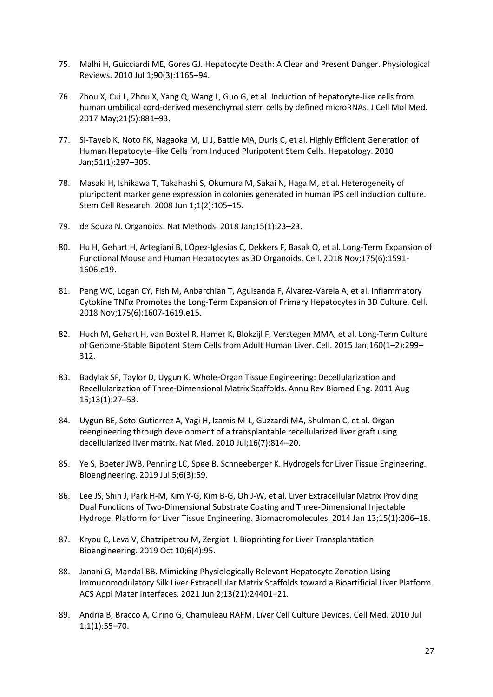- 75. Malhi H, Guicciardi ME, Gores GJ. Hepatocyte Death: A Clear and Present Danger. Physiological Reviews. 2010 Jul 1;90(3):1165–94.
- 76. Zhou X, Cui L, Zhou X, Yang Q, Wang L, Guo G, et al. Induction of hepatocyte‐like cells from human umbilical cord‐derived mesenchymal stem cells by defined microRNAs. J Cell Mol Med. 2017 May;21(5):881–93.
- 77. Si-Tayeb K, Noto FK, Nagaoka M, Li J, Battle MA, Duris C, et al. Highly Efficient Generation of Human Hepatocyte–like Cells from Induced Pluripotent Stem Cells. Hepatology. 2010 Jan;51(1):297–305.
- 78. Masaki H, Ishikawa T, Takahashi S, Okumura M, Sakai N, Haga M, et al. Heterogeneity of pluripotent marker gene expression in colonies generated in human iPS cell induction culture. Stem Cell Research. 2008 Jun 1;1(2):105–15.
- 79. de Souza N. Organoids. Nat Methods. 2018 Jan;15(1):23–23.
- 80. Hu H, Gehart H, Artegiani B, LÖpez-Iglesias C, Dekkers F, Basak O, et al. Long-Term Expansion of Functional Mouse and Human Hepatocytes as 3D Organoids. Cell. 2018 Nov;175(6):1591- 1606.e19.
- 81. Peng WC, Logan CY, Fish M, Anbarchian T, Aguisanda F, Álvarez-Varela A, et al. Inflammatory Cytokine TNFα Promotes the Long-Term Expansion of Primary Hepatocytes in 3D Culture. Cell. 2018 Nov;175(6):1607-1619.e15.
- 82. Huch M, Gehart H, van Boxtel R, Hamer K, Blokzijl F, Verstegen MMA, et al. Long-Term Culture of Genome-Stable Bipotent Stem Cells from Adult Human Liver. Cell. 2015 Jan;160(1–2):299– 312.
- 83. Badylak SF, Taylor D, Uygun K. Whole-Organ Tissue Engineering: Decellularization and Recellularization of Three-Dimensional Matrix Scaffolds. Annu Rev Biomed Eng. 2011 Aug 15;13(1):27–53.
- 84. Uygun BE, Soto-Gutierrez A, Yagi H, Izamis M-L, Guzzardi MA, Shulman C, et al. Organ reengineering through development of a transplantable recellularized liver graft using decellularized liver matrix. Nat Med. 2010 Jul;16(7):814–20.
- 85. Ye S, Boeter JWB, Penning LC, Spee B, Schneeberger K. Hydrogels for Liver Tissue Engineering. Bioengineering. 2019 Jul 5;6(3):59.
- 86. Lee JS, Shin J, Park H-M, Kim Y-G, Kim B-G, Oh J-W, et al. Liver Extracellular Matrix Providing Dual Functions of Two-Dimensional Substrate Coating and Three-Dimensional Injectable Hydrogel Platform for Liver Tissue Engineering. Biomacromolecules. 2014 Jan 13;15(1):206–18.
- 87. Kryou C, Leva V, Chatzipetrou M, Zergioti I. Bioprinting for Liver Transplantation. Bioengineering. 2019 Oct 10;6(4):95.
- 88. Janani G, Mandal BB. Mimicking Physiologically Relevant Hepatocyte Zonation Using Immunomodulatory Silk Liver Extracellular Matrix Scaffolds toward a Bioartificial Liver Platform. ACS Appl Mater Interfaces. 2021 Jun 2;13(21):24401–21.
- 89. Andria B, Bracco A, Cirino G, Chamuleau RAFM. Liver Cell Culture Devices. Cell Med. 2010 Jul 1;1(1):55–70.